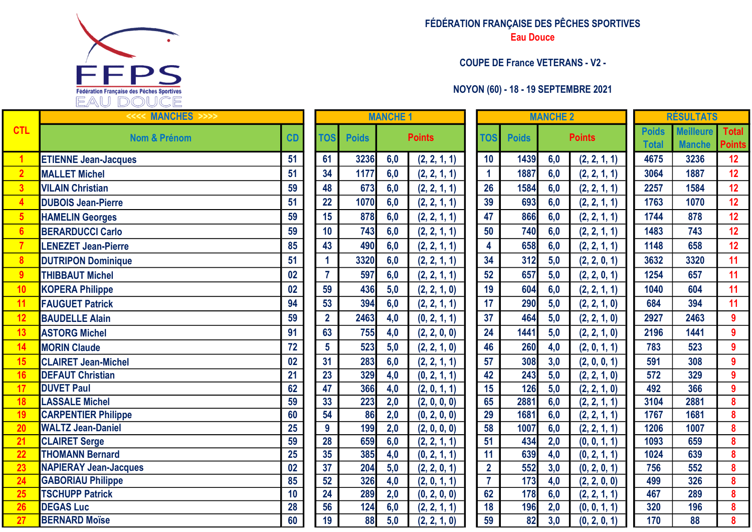

| FÉDÉRATION FRANÇAISE DES PÊCHES SPORTIVES |
|-------------------------------------------|
| <b>Eau Douce</b>                          |
|                                           |
| <b>COUPE DE France VETERANS - V2 -</b>    |

## NOYON (60) - 18 - 19 SEPTEMBRE 2021

| <b>MANCHE 1</b>             |     |               |                |              | <b>MANCHE 2</b> |               |              | <b>RÉSULTATS</b> |                               |
|-----------------------------|-----|---------------|----------------|--------------|-----------------|---------------|--------------|------------------|-------------------------------|
|                             |     | <b>Points</b> | <b>TOS</b>     | <b>Poids</b> |                 | <b>Points</b> | <b>Poids</b> | <b>Meilleure</b> | <b>Total</b><br><b>Points</b> |
|                             |     |               |                |              |                 |               | <b>Total</b> | <b>Manche</b>    |                               |
| 6                           | 6,0 | (2, 2, 1, 1)  | 10             | 1439         | 6,0             | (2, 2, 1, 1)  | 4675         | 3236             | 12                            |
| $\overline{7}$              | 6,0 | (2, 2, 1, 1)  | 1              | 1887         | 6,0             | (2, 2, 1, 1)  | 3064         | 1887             | 12                            |
| $\overline{\mathbf{3}}$     | 6,0 | (2, 2, 1, 1)  | 26             | 1584         | 6,0             | (2, 2, 1, 1)  | 2257         | 1584             | 12                            |
| $\overline{\mathbf{0}}$     | 6,0 | (2, 2, 1, 1)  | 39             | 693          | 6,0             | (2, 2, 1, 1)  | 1763         | 1070             | 12                            |
| $\overline{\mathbf{8}}$     | 6,0 | (2, 2, 1, 1)  | 47             | 866          | 6,0             | (2, 2, 1, 1)  | 1744         | 878              | 12                            |
| 3                           | 6,0 | (2, 2, 1, 1)  | 50             | 740          | 6,0             | (2, 2, 1, 1)  | 1483         | 743              | 12                            |
| $\overline{\mathbf{0}}$     | 6,0 | (2, 2, 1, 1)  | 4              | 658          | 6,0             | (2, 2, 1, 1)  | 1148         | 658              | 12                            |
| $\overline{\mathbf{0}}$     | 6,0 | (2, 2, 1, 1)  | 34             | 312          | 5,0             | (2, 2, 0, 1)  | 3632         | 3320             | 11                            |
| $\overline{7}$              | 6,0 | (2, 2, 1, 1)  | 52             | 657          | 5,0             | (2, 2, 0, 1)  | 1254         | 657              | 11                            |
| $\overline{6}$              | 5,0 | (2, 2, 1, 0)  | 19             | 604          | 6,0             | (2, 2, 1, 1)  | 1040         | 604              | 11                            |
| $\overline{4}$              | 6,0 | (2, 2, 1, 1)  | 17             | 290          | 5,0             | (2, 2, 1, 0)  | 684          | 394              | 11                            |
| $\overline{\mathbf{3}}$     | 4,0 | (0, 2, 1, 1)  | 37             | 464          | 5,0             | (2, 2, 1, 0)  | 2927         | 2463             | $\boldsymbol{9}$              |
| $5\overline{5}$             | 4,0 | (2, 2, 0, 0)  | 24             | 1441         | 5,0             | (2, 2, 1, 0)  | 2196         | 1441             | 9                             |
| $\overline{3}$              | 5,0 | (2, 2, 1, 0)  | 46             | 260          | 4,0             | (2, 0, 1, 1)  | 783          | 523              | 9                             |
| $\overline{3}$              | 6,0 | (2, 2, 1, 1)  | 57             | 308          | 3,0             | (2, 0, 0, 1)  | 591          | 308              | 9                             |
| 9                           | 4,0 | (0, 2, 1, 1)  | 42             | 243          | 5,0             | (2, 2, 1, 0)  | 572          | 329              | 9                             |
| $\overline{\boldsymbol{6}}$ | 4,0 | (2, 0, 1, 1)  | 15             | 126          | 5,0             | (2, 2, 1, 0)  | 492          | 366              | 9                             |
| <u>ကို ဩ</u>                | 2,0 | (2, 0, 0, 0)  | 65             | 2881         | 6,0             | (2, 2, 1, 1)  | 3104         | 2881             | 8                             |
|                             | 2,0 | (0, 2, 0, 0)  | 29             | 1681         | 6,0             | (2, 2, 1, 1)  | 1767         | 1681             | 8                             |
| $\overline{9}$              | 2,0 | (2, 0, 0, 0)  | 58             | 1007         | 6,0             | (2, 2, 1, 1)  | 1206         | 1007             | 8                             |
| $\overline{19}$             | 6,0 | (2, 2, 1, 1)  | 51             | 434          | 2,0             | (0, 0, 1, 1)  | 1093         | 659              | 8                             |
| $\overline{5}$              | 4,0 | (0, 2, 1, 1)  | 11             | 639          | 4,0             | (0, 2, 1, 1)  | 1024         | 639              | 8                             |
| $\overline{4}$              | 5,0 | (2, 2, 0, 1)  | $\overline{2}$ | 552          | 3,0             | (0, 2, 0, 1)  | 756          | 552              | 8                             |
| $\overline{\mathbf{6}}$     | 4,0 | (2, 0, 1, 1)  | $\overline{7}$ | 173          | 4,0             | (2, 2, 0, 0)  | 499          | 326              | 8                             |
| $\overline{9}$              | 2,0 | (0, 2, 0, 0)  | 62             | 178          | 6,0             | (2, 2, 1, 1)  | 467          | 289              | 8                             |
| $\overline{4}$              | 6,0 | (2, 2, 1, 1)  | 18             | 196          | 2,0             | (0, 0, 1, 1)  | 320          | 196              | 8                             |
| $\overline{\mathbf{3}}$     | 5,0 | (2, 2, 1, 0)  | 59             | 82           | 3,0             | (0, 2, 0, 1)  | 170          | 88               | 8                             |

|                  | <<<< MANCHES<br>$>>>>$       |                 |                 | <b>MANCHE 1</b> |                  |               |                 |                 | <b>MANCHE 2</b>  |               | <b>RÉSULTATS</b>             |                                   |                         |
|------------------|------------------------------|-----------------|-----------------|-----------------|------------------|---------------|-----------------|-----------------|------------------|---------------|------------------------------|-----------------------------------|-------------------------|
| <b>CTL</b>       | <b>Nom &amp; Prénom</b>      | CD              | <b>TOS</b>      | <b>Poids</b>    |                  | <b>Points</b> | <b>TOS</b>      | <b>Poids</b>    |                  | <b>Points</b> | <b>Poids</b><br><b>Total</b> | <b>Meilleure</b><br><b>Manche</b> | Tota<br>Poin            |
|                  | <b>ETIENNE Jean-Jacques</b>  | 51              | 61              | 3236            | 6,0              | (2, 2, 1, 1)  | 10              | 1439            | 6,0              | (2, 2, 1, 1)  | 4675                         | 3236                              | 12                      |
| $\overline{2}$   | <b>MALLET Michel</b>         | 51              | 34              | 1177            | 6,0              | (2, 2, 1, 1)  | $\mathbf{1}$    | 1887            | 6,0              | (2, 2, 1, 1)  | 3064                         | 1887                              | 12                      |
| $\overline{3}$   | <b>VILAIN Christian</b>      | 59              | 48              | 673             | 6,0              | (2, 2, 1, 1)  | 26              | 1584            | 6,0              | (2, 2, 1, 1)  | 2257                         | 1584                              | 12                      |
| $\overline{4}$   | <b>DUBOIS Jean-Pierre</b>    | 51              | 22              | 1070            | 6,0              | (2, 2, 1, 1)  | 39              | 693             | 6,0              | (2, 2, 1, 1)  | 1763                         | 1070                              | 12                      |
| $5\phantom{1}$   | <b>HAMELIN Georges</b>       | 59              | 15              | 878             | 6,0              | (2, 2, 1, 1)  | 47              | 866             | 6,0              | (2, 2, 1, 1)  | 1744                         | 878                               | 12                      |
| $6\phantom{1}6$  | <b>BERARDUCCI Carlo</b>      | 59              | 10              | 743             | 6,0              | (2, 2, 1, 1)  | 50              | 740             | 6,0              | (2, 2, 1, 1)  | 1483                         | 743                               | 12                      |
|                  | <b>LENEZET Jean-Pierre</b>   | 85              | 43              | 490             | 6,0              | (2, 2, 1, 1)  | 4               | 658             | 6,0              | (2, 2, 1, 1)  | 1148                         | 658                               | 12                      |
| $\boldsymbol{8}$ | <b>DUTRIPON Dominique</b>    | 51              | 1               | 3320            | 6,0              | (2, 2, 1, 1)  | 34              | 312             | 5,0              | (2, 2, 0, 1)  | 3632                         | 3320                              | 11                      |
| 9                | <b>THIBBAUT Michel</b>       | 02              | $\overline{7}$  | 597             | 6,0              | (2, 2, 1, 1)  | 52              | 657             | 5,0              | (2, 2, 0, 1)  | 1254                         | 657                               | 11                      |
| 10               | <b>KOPERA Philippe</b>       | 02              | 59              | 436             | 5,0              | (2, 2, 1, 0)  | 19              | 604             | 6,0              | (2, 2, 1, 1)  | 1040                         | 604                               | 11                      |
| 11               | <b>FAUGUET Patrick</b>       | 94              | 53              | 394             | 6,0              | (2, 2, 1, 1)  | 17              | 290             | 5,0              | (2, 2, 1, 0)  | 684                          | 394                               | 11                      |
| 12               | <b>BAUDELLE Alain</b>        | 59              | $\overline{2}$  | 2463            | 4,0              | (0, 2, 1, 1)  | 37              | 464             | 5,0              | (2, 2, 1, 0)  | 2927                         | 2463                              | $\boldsymbol{9}$        |
| 13               | <b>ASTORG Michel</b>         | 91              | 63              | 755             | 4,0              | (2, 2, 0, 0)  | 24              | 1441            | 5,0              | (2, 2, 1, 0)  | 2196                         | 1441                              | $\boldsymbol{9}$        |
| 14               | <b>MORIN Claude</b>          | 72              | $5\overline{)}$ | 523             | 5,0              | (2, 2, 1, 0)  | 46              | 260             | 4,0              | (2, 0, 1, 1)  | 783                          | 523                               | $\boldsymbol{9}$        |
| 15               | <b>CLAIRET Jean-Michel</b>   | 02              | 31              | 283             | 6,0              | (2, 2, 1, 1)  | 57              | 308             | 3,0              | (2, 0, 0, 1)  | 591                          | 308                               | 9                       |
| 16               | <b>DEFAUT Christian</b>      | 21              | 23              | 329             | 4,0              | (0, 2, 1, 1)  | 42              | 243             | 5,0              | (2, 2, 1, 0)  | 572                          | 329                               | $\boldsymbol{9}$        |
| 17               | <b>DUVET Paul</b>            | 62              | 47              | 366             | 4,0              | (2, 0, 1, 1)  | 15              | 126             | 5,0              | (2, 2, 1, 0)  | 492                          | 366                               | $\overline{9}$          |
| 18               | <b>LASSALE Michel</b>        | 59              | 33              | 223             | 2,0              | (2, 0, 0, 0)  | 65              | 2881            | 6,0              | (2, 2, 1, 1)  | 3104                         | 2881                              | $\boldsymbol{8}$        |
| 19               | <b>CARPENTIER Philippe</b>   | 60              | $\overline{54}$ | 86              | $\overline{2,0}$ | (0, 2, 0, 0)  | $\overline{29}$ | 1681            | 6,0              | (2, 2, 1, 1)  | 1767                         | 1681                              | $\overline{\mathbf{8}}$ |
| 20               | <b>WALTZ Jean-Daniel</b>     | 25              | $\overline{9}$  | 199             | 2,0              | (2, 0, 0, 0)  | 58              | 1007            | 6,0              | (2, 2, 1, 1)  | 1206                         | 1007                              | $\pmb{8}$               |
| 21               | <b>CLAIRET Serge</b>         | 59              | 28              | 659             | 6,0              | (2, 2, 1, 1)  | 51              | 434             | 2,0              | (0, 0, 1, 1)  | 1093                         | 659                               | $\bf{8}$                |
| $\overline{22}$  | <b>THOMANN Bernard</b>       | $\overline{25}$ | 35              | 385             | 4,0              | (0, 2, 1, 1)  | $\overline{11}$ | 639             | 4,0              | (0, 2, 1, 1)  | 1024                         | 639                               | $\boldsymbol{8}$        |
| 23               | <b>NAPIERAY Jean-Jacques</b> | $\overline{02}$ | 37              | 204             | 5,0              | (2, 2, 0, 1)  | $\overline{2}$  | 552             | 3,0              | (0, 2, 0, 1)  | 756                          | 552                               | $\overline{\mathbf{8}}$ |
| 24               | <b>GABORIAU Philippe</b>     | 85              | 52              | 326             | 4,0              | (2, 0, 1, 1)  | $\overline{7}$  | 173             | 4,0              | (2, 2, 0, 0)  | 499                          | 326                               | $\pmb{8}$               |
| 25               | <b>TSCHUPP Patrick</b>       | 10              | 24              | 289             | 2,0              | (0, 2, 0, 0)  | 62              | 178             | 6,0              | (2, 2, 1, 1)  | 467                          | 289                               | $\boldsymbol{8}$        |
| 26               | <b>DEGAS Luc</b>             | 28              | 56              | 124             | 6,0              | (2, 2, 1, 1)  | 18              | 196             | 2,0              | (0, 0, 1, 1)  | 320                          | 196                               | $\pmb{8}$               |
| 27               | <b>BERNARD Moïse</b>         | 60              | 19              | 88              | $\overline{5,0}$ | (2, 2, 1, 0)  | $\overline{59}$ | $\overline{82}$ | $\overline{3,0}$ | (0, 2, 0, 1)  | 170                          | 88                                | $\overline{\mathbf{8}}$ |